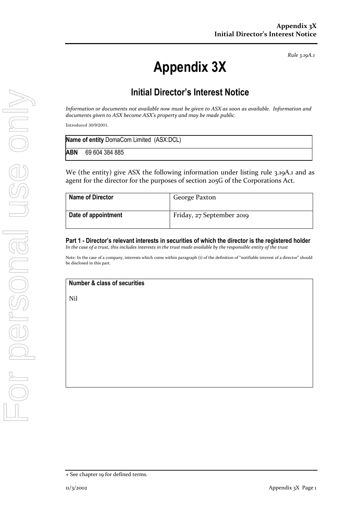*Rule 3.19A.1*

## **Appendix 3X**

## **Initial Director's Interest Notice**

*Information or documents not available now must be given to ASX as soon as available. Information and documents given to ASX become ASX's property and may be made public.*

Introduced 30/9/2001.

| <b>Name of entity DomaCom Limited (ASX:DCL)</b> |                |  |
|-------------------------------------------------|----------------|--|
| <b>ABN</b>                                      | 69 604 384 885 |  |

We (the entity) give ASX the following information under listing rule 3.19A.1 and as agent for the director for the purposes of section 205G of the Corporations Act.

| <b>Name of Director</b> | George Paxton             |
|-------------------------|---------------------------|
| Date of appointment     | Friday, 27 September 2019 |

**Part 1 - Director's relevant interests in securities of which the director is the registered holder** *In the case of a trust, this includes interests in the trust made available by the responsible entity of the trust*

Note: In the case of a company, interests which come within paragraph (i) of the definition of "notifiable interest of a director" should be disclosed in this part.

**Number & class of securities**

Nil

<sup>+</sup> See chapter 19 for defined terms.